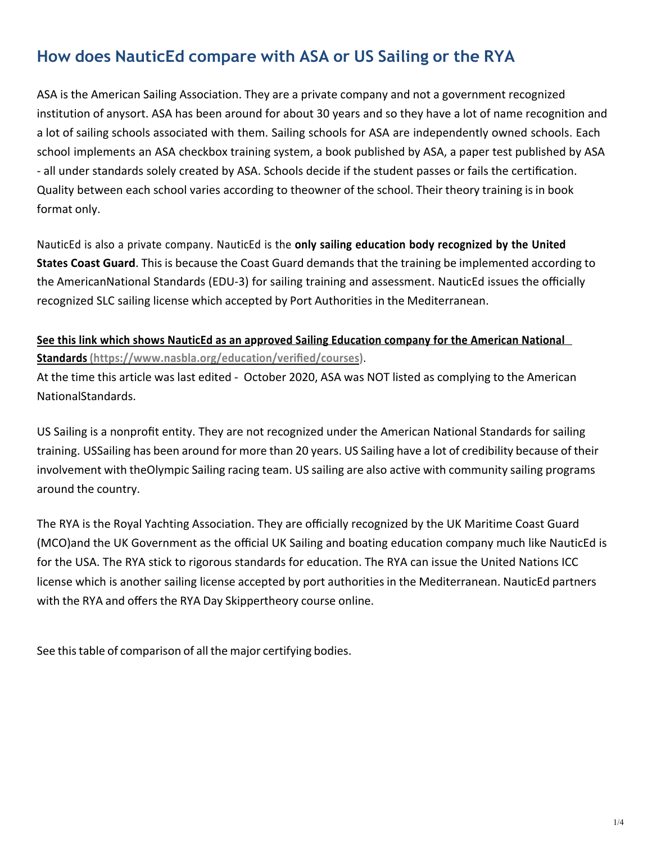## **How does NauticEd compare with ASA or US Sailing or the RYA**

ASA is the American Sailing Association. They are a private company and not a government recognized institution of anysort. ASA has been around for about 30 years and so they have a lot of name recognition and a lot of sailing schools associated with them. Sailing schools for ASA are independently owned schools. Each school implements an ASA checkbox training system, a book published by ASA, a paper test published by ASA - all under standards solely created by ASA. Schools decide if the student passes or fails the certification. Quality between each school varies according to theowner of the school. Their theory training is in book format only.

NauticEd is also a private company. NauticEd is the **only sailing education body recognized by the United States Coast Guard**. This is because the Coast Guard demands that the training be implemented according to the AmericanNational Standards (EDU-3) for sailing training and assessment. NauticEd issues the officially recognized SLC sailing license which accepted by Port Authorities in the Mediterranean.

## **See this link which shows NauticEd as an approved Sailing Education company for the American National Standards (https://www.nasbla.org/education/verified/courses)**.

At the time this article was last edited - October 2020, ASA was NOT listed as complying to the American NationalStandards.

US Sailing is a nonprofit entity. They are not recognized under the American National Standards for sailing training. USSailing has been around for more than 20 years. US Sailing have a lot of credibility because of their involvement with theOlympic Sailing racing team. US sailing are also active with community sailing programs around the country.

The RYA is the Royal Yachting Association. They are officially recognized by the UK Maritime Coast Guard (MCO)and the UK Government as the official UK Sailing and boating education company much like NauticEd is for the USA. The RYA stick to rigorous standards for education. The RYA can issue the United Nations ICC license which is another sailing license accepted by port authorities in the Mediterranean. NauticEd partners with the RYA and offers the RYA Day Skippertheory course online.

See this table of comparison of all the major certifying bodies.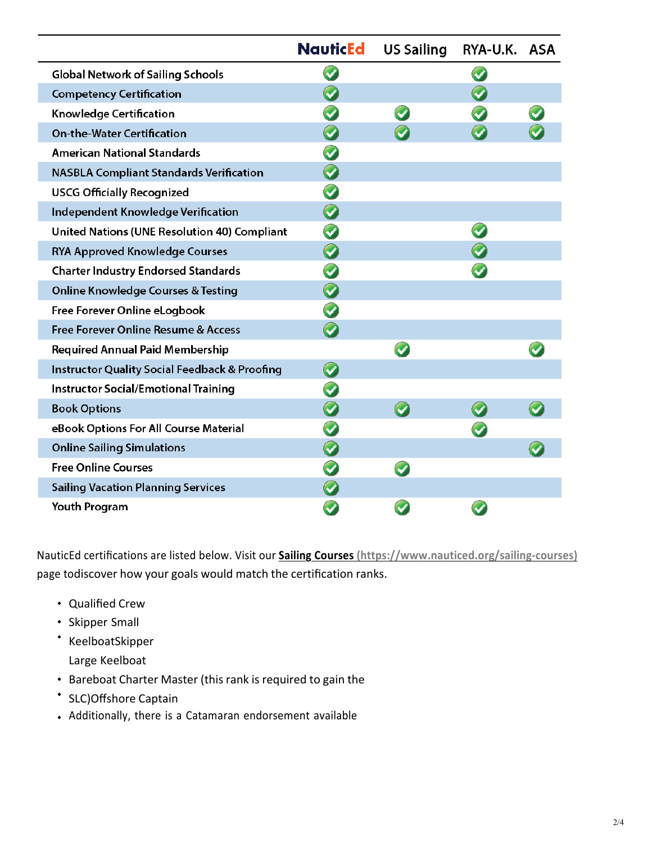|                                                          | <b>NauticEd</b>      | <b>US Sailing</b> | RYA-U.K. ASA |  |
|----------------------------------------------------------|----------------------|-------------------|--------------|--|
| <b>Global Network of Sailing Schools</b>                 |                      |                   |              |  |
| <b>Competency Certification</b>                          |                      |                   |              |  |
| Knowledge Certification                                  |                      |                   |              |  |
| <b>On-the-Water Certification</b>                        |                      |                   |              |  |
| <b>American National Standards</b>                       |                      |                   |              |  |
| <b>NASBLA Compliant Standards Verification</b>           | $\bullet$            |                   |              |  |
| <b>USCG Officially Recognized</b>                        | $\bullet$            |                   |              |  |
| <b>Independent Knowledge Verification</b>                | $\bullet$            |                   |              |  |
| <b>United Nations (UNE Resolution 40) Compliant</b>      |                      |                   |              |  |
| <b>RYA Approved Knowledge Courses</b>                    | $\blacktriangledown$ |                   |              |  |
| <b>Charter Industry Endorsed Standards</b>               |                      |                   |              |  |
| <b>Online Knowledge Courses &amp; Testing</b>            | $\blacktriangledown$ |                   |              |  |
| Free Forever Online eLogbook                             |                      |                   |              |  |
| Free Forever Online Resume & Access                      |                      |                   |              |  |
| <b>Required Annual Paid Membership</b>                   |                      |                   |              |  |
| <b>Instructor Quality Social Feedback &amp; Proofing</b> | $\bullet$            |                   |              |  |
| <b>Instructor Social/Emotional Training</b>              |                      |                   |              |  |
| <b>Book Options</b>                                      |                      |                   |              |  |
| eBook Options For All Course Material                    |                      |                   |              |  |
| <b>Online Sailing Simulations</b>                        |                      |                   |              |  |
| <b>Free Online Courses</b>                               |                      |                   |              |  |
| <b>Sailing Vacation Planning Services</b>                |                      |                   |              |  |
| <b>Youth Program</b>                                     |                      |                   |              |  |

NauticEd certifications are listed below. Visit our **Sailing Courses (https://www.nauticed.org/sailing-courses)** page todiscover how your goals would match the certification ranks.

- Qualified Crew
- **·** Skipper Small
- \* KeelboatSkipper Large Keelboat
- Bareboat Charter Master (this rank is required to gain the
- SLC)Offshore Captain
- Additionally, there is a Catamaran endorsement available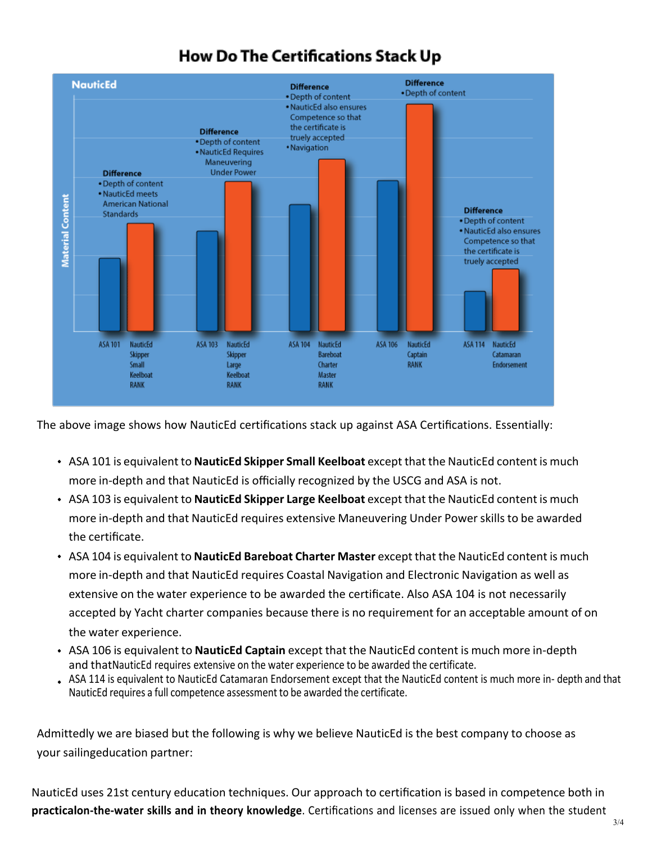## **How Do The Certifications Stack Up**



The above image shows how NauticEd certifications stack up against ASA Certifications. Essentially:

- ASA 101 is equivalent to **NauticEd Skipper Small Keelboat** except that the NauticEd content is much more in-depth and that NauticEd is officially recognized by the USCG and ASA is not.
- ASA 103 is equivalent to **NauticEd Skipper Large Keelboat** except that the NauticEd content is much more in-depth and that NauticEd requires extensive Maneuvering Under Power skills to be awarded the certificate.
- ASA 104 is equivalent to **NauticEd Bareboat Charter Master** except that the NauticEd content is much more in-depth and that NauticEd requires Coastal Navigation and Electronic Navigation as well as extensive on the water experience to be awarded the certificate. Also ASA 104 is not necessarily accepted by Yacht charter companies because there is no requirement for an acceptable amount of on the water experience.
- ASA 106 is equivalent to **NauticEd Captain** except that the NauticEd content is much more in-depth and thatNauticEd requires extensive on the water experience to be awarded the certificate.
- ASA 114 is equivalent to NauticEd Catamaran Endorsement except that the NauticEd content is much more in- depth and that NauticEd requires a full competence assessment to be awarded the certificate.

Admittedly we are biased but the following is why we believe NauticEd is the best company to choose as your sailingeducation partner:

NauticEd uses 21st century education techniques. Our approach to certification is based in competence both in **practicalon-the-water skills and in theory knowledge**. Certifications and licenses are issued only when the student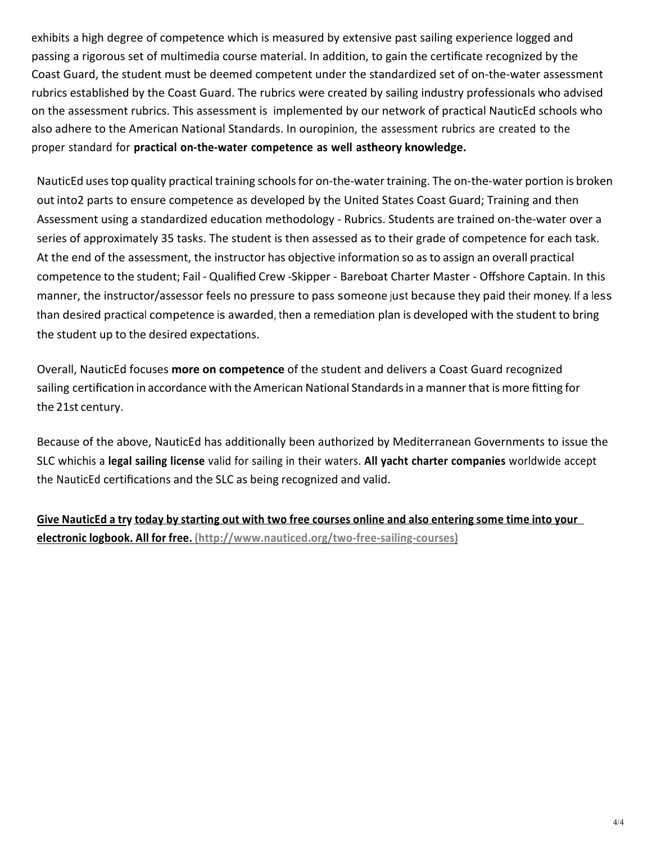exhibits a high degree of competence which is measured by extensive past sailing experience logged and passing a rigorous set of multimedia course material. In addition, to gain the certificate recognized by the Coast Guard, the student must be deemed competent under the standardized set of on-the-water assessment rubrics established by the Coast Guard. The rubrics were created by sailing industry professionals who advised on the assessment rubrics. This assessment is implemented by our network of practical NauticEd schools who also adhere to the American National Standards. In ouropinion, the assessment rubrics are created to the proper standard for **practical on-the-water competence as well astheory knowledge.**

NauticEd uses top quality practical training schools for on-the-water training. The on-the-water portion is broken out into2 parts to ensure competence as developed by the United States Coast Guard; Training and then Assessment using a standardized education methodology - Rubrics. Students are trained on-the-water over a series of approximately 35 tasks. The student is then assessed as to their grade of competence for each task. At the end of the assessment, the instructor has objective information so asto assign an overall practical competence to the student; Fail - Qualified Crew -Skipper - Bareboat Charter Master - Offshore Captain. In this manner, the instructor/assessor feels no pressure to pass someone just because they paid their money. If a less than desired practical competence is awarded, then a remediation plan is developed with the student to bring the student up to the desired expectations.

Overall, NauticEd focuses **more on competence** of the student and delivers a Coast Guard recognized sailing certification in accordance with the American National Standardsin a mannerthat is more fitting for the 21st century.

Because of the above, NauticEd has additionally been authorized by Mediterranean Governments to issue the SLC whichis a **legal sailing license** valid for sailing in their waters. **All yacht charter companies** worldwide accept the NauticEd certifications and the SLC as being recognized and valid.

Give NauticEd a try today by starting out with two free courses online and also entering some time into your **electronic logbook. All for free. (http://www.nauticed.org/two-free-sailing-courses)**